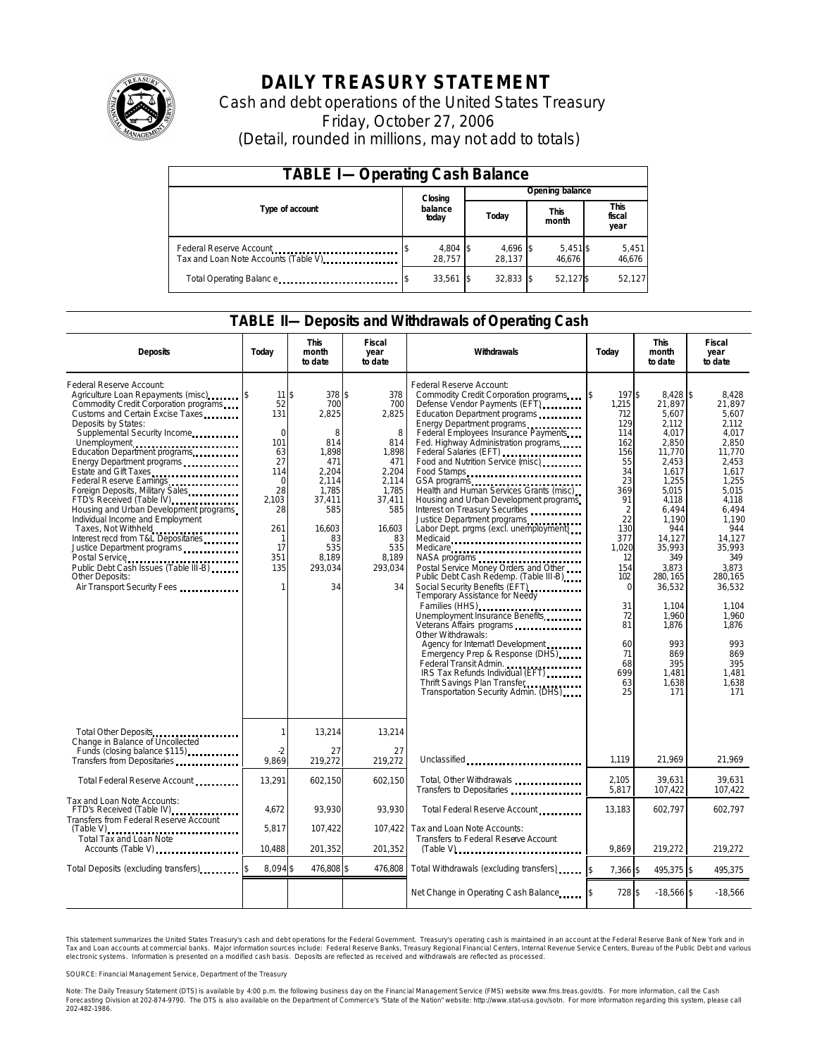

# **DAILY TREASURY STATEMENT**

Cash and debt operations of the United States Treasury Friday, October 27, 2006 (Detail, rounded in millions, may not add to totals)

| <b>TABLE I-Operating Cash Balance</b> |  |                    |  |                    |  |                      |  |                        |  |
|---------------------------------------|--|--------------------|--|--------------------|--|----------------------|--|------------------------|--|
|                                       |  | Closing            |  | Opening balance    |  |                      |  |                        |  |
| Type of account                       |  | balance<br>today   |  | Today              |  | <b>This</b><br>month |  | This<br>fiscal<br>year |  |
| Tax and Loan Note Accounts (Table V)  |  | 4,804 \$<br>28.757 |  | 4,696 \$<br>28.137 |  | $5,451$ \$<br>46.676 |  | 5,451<br>46,676        |  |
| Total Operating Balance               |  | $33,561$ \$        |  | $32.833$ \$        |  | 52.127\$             |  | 52,127                 |  |

### **TABLE II—Deposits and Withdrawals of Operating Cash**

| <b>Deposits</b>                                                                                                                                                                                                                                                                                                                                                                                                                                                                                                                                                                                                                                                                                                                       | Today                                                                                                                                    | <b>This</b><br>month<br>to date                                                                                                                 | <b>Fiscal</b><br>year<br>to date                                                                                                             | Withdrawals                                                                                                                                                                                                                                                                                                                                                                                                                                                                                                                                                                                                                                                                                                                                                                                                                                                                                                                                                                                | Todav                                                                                                                                                                                                                  | <b>This</b><br>month<br>to date                                                                                                                                                                                                                                           | <b>Fiscal</b><br>year<br>to date                                                                                                                                                                                                                                      |
|---------------------------------------------------------------------------------------------------------------------------------------------------------------------------------------------------------------------------------------------------------------------------------------------------------------------------------------------------------------------------------------------------------------------------------------------------------------------------------------------------------------------------------------------------------------------------------------------------------------------------------------------------------------------------------------------------------------------------------------|------------------------------------------------------------------------------------------------------------------------------------------|-------------------------------------------------------------------------------------------------------------------------------------------------|----------------------------------------------------------------------------------------------------------------------------------------------|--------------------------------------------------------------------------------------------------------------------------------------------------------------------------------------------------------------------------------------------------------------------------------------------------------------------------------------------------------------------------------------------------------------------------------------------------------------------------------------------------------------------------------------------------------------------------------------------------------------------------------------------------------------------------------------------------------------------------------------------------------------------------------------------------------------------------------------------------------------------------------------------------------------------------------------------------------------------------------------------|------------------------------------------------------------------------------------------------------------------------------------------------------------------------------------------------------------------------|---------------------------------------------------------------------------------------------------------------------------------------------------------------------------------------------------------------------------------------------------------------------------|-----------------------------------------------------------------------------------------------------------------------------------------------------------------------------------------------------------------------------------------------------------------------|
| Federal Reserve Account:<br>Agriculture Loan Repayments (misc)<br>Commodity Credit Corporation programs<br>Customs and Certain Excise Taxes<br>Deposits by States:<br>Supplemental Security Income<br>Unemployment<br>Education Department programs<br>Energy Department programs<br>Estate and Gift Taxes<br>Federal Reserve Earnings<br>Foreign Deposits, Military Sales<br>FTD's Received (Table IV) <b>FTD</b> 's Received (Table IV)<br>Housing and Urban Development programs<br>Individual Income and Employment<br>Taxes, Not Withheld<br>Interest recd from T&L Depositaries<br>Justice Department programs<br>Postal Service<br><br>Public Debt Cash Issues (Table III-B)<br>Other Deposits:<br>Air Transport Security Fees | 11 <sup>5</sup><br>52<br>131<br>$\Omega$<br>101<br>63<br>27<br>114<br>$\Omega$<br>28<br>2.103<br>28<br>261<br>1<br>17<br>351<br>135<br>1 | 378 \$<br>700<br>2,825<br>8<br>814<br>1,898<br>471<br>2,204<br>2,114<br>1,785<br>37,411<br>585<br>16,603<br>83<br>535<br>8.189<br>293,034<br>34 | 378<br>700<br>2,825<br>8<br>814<br>1,898<br>471<br>2,204<br>2,114<br>1,785<br>37,411<br>585<br>16,603<br>83<br>535<br>8,189<br>293,034<br>34 | Federal Reserve Account:<br>Commodity Credit Corporation programs \$<br>Defense Vendor Payments (EFT)<br>Education Department programs<br>Energy Department programs<br>Federal Employees Insurance Payments<br>Fed. Highway Administration programs<br>Federal Salaries (EFT)<br>Food and Nutrition Service (misc)<br>Food Stamps<br>Health and Human Services Grants (misc)<br>Housing and Urban Development programs<br>Interest on Treasury Securities<br>Justice Department programs<br>Labor Dept. prgms (excl. unemployment)<br>Medicare<br>Postal Service Money Orders and Other<br>Public Debt Cash Redemp. (Table III-B)<br>Temporary Assistance for Needy<br>Families (HHS)<br>Unemployment Insurance Benefits<br>Veterans Affairs programs<br>Other Withdrawals:<br>Agency for Internat'l Development<br>Emergency Prep & Response (DHS)<br>Federal Transit Admin.<br>IRS Tax Refunds Individual (EFT)<br>Thrift Savings Plan Transfer<br>Transportation Security Admin. (DHS) | 197\$<br>1,215<br>712<br>129<br>114<br>162<br>156<br>55<br>34<br>23<br>369<br>91<br>$\overline{2}$<br>22<br>130<br>377<br>1,020<br>12<br>154<br>102<br>$\Omega$<br>31<br>72<br>81<br>60<br>71<br>68<br>699<br>63<br>25 | 8,428 \$<br>21,897<br>5,607<br>2,112<br>4,017<br>2,850<br>11,770<br>2,453<br>1.617<br>1,255<br>5.015<br>4,118<br>6,494<br>1,190<br>944<br>14,127<br>35,993<br>349<br>3.873<br>280, 165<br>36,532<br>1.104<br>1,960<br>1,876<br>993<br>869<br>395<br>1.481<br>1.638<br>171 | 8,428<br>21,897<br>5.607<br>2.112<br>4,017<br>2.850<br>11.770<br>2,453<br>1.617<br>1,255<br>5.015<br>4.118<br>6,494<br>1.190<br>944<br>14.127<br>35,993<br>349<br>3.873<br>280.165<br>36.532<br>1.104<br>1,960<br>1,876<br>993<br>869<br>395<br>1.481<br>1.638<br>171 |
| Total Other Deposits<br>Change in Balance of Uncollected                                                                                                                                                                                                                                                                                                                                                                                                                                                                                                                                                                                                                                                                              | 1                                                                                                                                        | 13,214                                                                                                                                          | 13,214                                                                                                                                       |                                                                                                                                                                                                                                                                                                                                                                                                                                                                                                                                                                                                                                                                                                                                                                                                                                                                                                                                                                                            |                                                                                                                                                                                                                        |                                                                                                                                                                                                                                                                           |                                                                                                                                                                                                                                                                       |
| Funds (closing balance \$115)<br>Funds (closing balance \$115)<br>Transfers from Depositaries                                                                                                                                                                                                                                                                                                                                                                                                                                                                                                                                                                                                                                         | $-2$<br>9,869                                                                                                                            | 27<br>219,272                                                                                                                                   | 27<br>219.272                                                                                                                                | Unclassified                                                                                                                                                                                                                                                                                                                                                                                                                                                                                                                                                                                                                                                                                                                                                                                                                                                                                                                                                                               | 1,119                                                                                                                                                                                                                  | 21,969                                                                                                                                                                                                                                                                    | 21,969                                                                                                                                                                                                                                                                |
| Total Federal Reserve Account                                                                                                                                                                                                                                                                                                                                                                                                                                                                                                                                                                                                                                                                                                         | 13,291                                                                                                                                   | 602,150                                                                                                                                         | 602,150                                                                                                                                      | Total, Other Withdrawals<br>Transfers to Depositaries                                                                                                                                                                                                                                                                                                                                                                                                                                                                                                                                                                                                                                                                                                                                                                                                                                                                                                                                      | 2,105<br>5,817                                                                                                                                                                                                         | 39.631<br>107,422                                                                                                                                                                                                                                                         | 39.631<br>107.422                                                                                                                                                                                                                                                     |
| Tax and Loan Note Accounts:<br>FTD's Received (Table IV).<br><br>Transfers from Federal Reserve Account                                                                                                                                                                                                                                                                                                                                                                                                                                                                                                                                                                                                                               | 4.672                                                                                                                                    | 93,930                                                                                                                                          | 93.930                                                                                                                                       | Total Federal Reserve Account                                                                                                                                                                                                                                                                                                                                                                                                                                                                                                                                                                                                                                                                                                                                                                                                                                                                                                                                                              | 13,183                                                                                                                                                                                                                 | 602,797                                                                                                                                                                                                                                                                   | 602,797                                                                                                                                                                                                                                                               |
| Total Tax and Loan Note<br>Accounts (Table V)                                                                                                                                                                                                                                                                                                                                                                                                                                                                                                                                                                                                                                                                                         | 5,817<br>10,488                                                                                                                          | 107,422<br>201,352                                                                                                                              | 107.422<br>201,352                                                                                                                           | Tax and Loan Note Accounts:<br>Transfers to Federal Reserve Account<br>$(Table V)$ <sub>111111111111111111111111111111</sub>                                                                                                                                                                                                                                                                                                                                                                                                                                                                                                                                                                                                                                                                                                                                                                                                                                                               | 9,869                                                                                                                                                                                                                  | 219,272                                                                                                                                                                                                                                                                   | 219,272                                                                                                                                                                                                                                                               |
| Total Deposits (excluding transfers)                                                                                                                                                                                                                                                                                                                                                                                                                                                                                                                                                                                                                                                                                                  | 8,094\$                                                                                                                                  | 476,808 \$                                                                                                                                      | 476,808                                                                                                                                      | Total Withdrawals (excluding transfers)                                                                                                                                                                                                                                                                                                                                                                                                                                                                                                                                                                                                                                                                                                                                                                                                                                                                                                                                                    | 7,366 \$                                                                                                                                                                                                               | 495,375 \$                                                                                                                                                                                                                                                                | 495,375                                                                                                                                                                                                                                                               |
|                                                                                                                                                                                                                                                                                                                                                                                                                                                                                                                                                                                                                                                                                                                                       |                                                                                                                                          |                                                                                                                                                 |                                                                                                                                              | Net Change in Operating Cash Balance                                                                                                                                                                                                                                                                                                                                                                                                                                                                                                                                                                                                                                                                                                                                                                                                                                                                                                                                                       | 728 \$                                                                                                                                                                                                                 | $-18.566$ \$                                                                                                                                                                                                                                                              | $-18.566$                                                                                                                                                                                                                                                             |

This statement summarizes the United States Treasury's cash and debt operations for the Federal Government. Treasury's operating cash is maintained in an account at the Federal Reserve Bank of New York and in Tax and Loan accounts at commercial banks. Major information sources include: Federal Reserve Banks, Treasury Regional Financial Centers, Internal Revenue Service Centers, Bureau of the Public Debt and various<br>electronic s

SOURCE: Financial Management Service, Department of the Treasury

Note: The Daily Treasury Statement (DTS) is available by 4:00 p.m. the following business day on the Financial Management Service (FMS) website www.fms.treas.gov/dts.<br>Forecasting Division at 202-874-9790. The DTS is also a 'S) is available by 4:00 p.m. the following business day on the Financial Management Service (FMS) website www.fms.treas.gov/dts. For more information, call the Cash<br>The DTS is also available on the Department of Commerce'